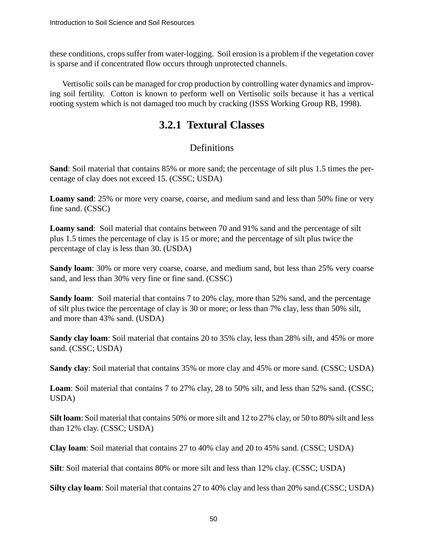these conditions, crops suffer from water-logging. Soil erosion is a problem if the vegetation cover is sparse and if concentrated flow occurs through unprotected channels.

Vertisolic soils can be managed for crop production by controlling water dynamics and improving soil fertility. Cotton is known to perform well on Vertisolic soils because it has a vertical rooting system which is not damaged too much by cracking (ISSS Working Group RB, 1998).

## **3.2.1 Textural Classes**

## Definitions

**Sand**: Soil material that contains 85% or more sand; the percentage of silt plus 1.5 times the percentage of clay does not exceed 15. (CSSC; USDA)

**Loamy sand**: 25% or more very coarse, coarse, and medium sand and less than 50% fine or very fine sand. (CSSC)

**Loamy sand**: Soil material that contains between 70 and 91% sand and the percentage of silt plus 1.5 times the percentage of clay is 15 or more; and the percentage of silt plus twice the percentage of clay is less than 30. (USDA)

**Sandy loam**: 30% or more very coarse, coarse, and medium sand, but less than 25% very coarse sand, and less than 30% very fine or fine sand. (CSSC)

**Sandy loam**: Soil material that contains 7 to 20% clay, more than 52% sand, and the percentage of silt plus twice the percentage of clay is 30 or more; or less than 7% clay, less than 50% silt, and more than 43% sand. (USDA)

**Sandy clay loam**: Soil material that contains 20 to 35% clay, less than 28% silt, and 45% or more sand. (CSSC; USDA)

**Sandy clay**: Soil material that contains 35% or more clay and 45% or more sand. (CSSC; USDA)

**Loam**: Soil material that contains 7 to 27% clay, 28 to 50% silt, and less than 52% sand. (CSSC; USDA)

**Silt loam**: Soil material that contains 50% or more silt and 12 to 27% clay, or 50 to 80% silt and less than 12% clay. (CSSC; USDA)

**Clay loam**: Soil material that contains 27 to 40% clay and 20 to 45% sand. (CSSC; USDA)

**Silt**: Soil material that contains 80% or more silt and less than 12% clay. (CSSC; USDA)

**Silty clay loam**: Soil material that contains 27 to 40% clay and less than 20% sand.(CSSC; USDA)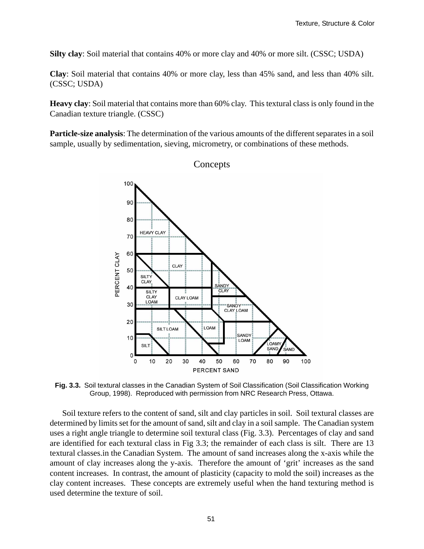**Silty clay**: Soil material that contains 40% or more clay and 40% or more silt. (CSSC; USDA)

**Clay**: Soil material that contains 40% or more clay, less than 45% sand, and less than 40% silt. (CSSC; USDA)

**Heavy clay**: Soil material that contains more than 60% clay. This textural class is only found in the Canadian texture triangle. (CSSC)

**Particle-size analysis**: The determination of the various amounts of the different separates in a soil sample, usually by sedimentation, sieving, micrometry, or combinations of these methods.



**Concepts** 

**Fig. 3.3.** Soil textural classes in the Canadian System of Soil Classification (Soil Classification Working Group, 1998). Reproduced with permission from NRC Research Press, Ottawa.

Soil texture refers to the content of sand, silt and clay particles in soil. Soil textural classes are determined by limits set for the amount of sand, silt and clay in a soil sample. The Canadian system uses a right angle triangle to determine soil textural class (Fig. 3.3). Percentages of clay and sand are identified for each textural class in Fig 3.3; the remainder of each class is silt. There are 13 textural classes.in the Canadian System. The amount of sand increases along the x-axis while the amount of clay increases along the y-axis. Therefore the amount of 'grit' increases as the sand content increases. In contrast, the amount of plasticity (capacity to mold the soil) increases as the clay content increases. These concepts are extremely useful when the hand texturing method is used determine the texture of soil.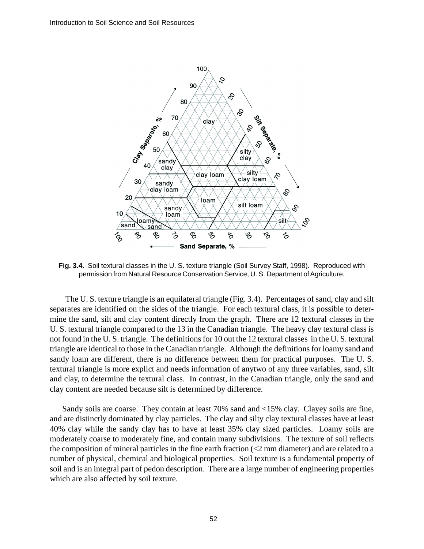

**Fig. 3.4.** Soil textural classes in the U. S. texture triangle (Soil Survey Staff, 1998). Reproduced with permission from Natural Resource Conservation Service, U. S. Department of Agriculture.

 The U. S. texture triangle is an equilateral triangle (Fig. 3.4). Percentages of sand, clay and silt separates are identified on the sides of the triangle. For each textural class, it is possible to determine the sand, silt and clay content directly from the graph. There are 12 textural classes in the U. S. textural triangle compared to the 13 in the Canadian triangle. The heavy clay textural class is not found in the U. S. triangle. The definitions for 10 out the 12 textural classes in the U. S. textural triangle are identical to those in the Canadian triangle. Although the definitions for loamy sand and sandy loam are different, there is no difference between them for practical purposes. The U. S. textural triangle is more explict and needs information of anytwo of any three variables, sand, silt and clay, to determine the textural class. In contrast, in the Canadian triangle, only the sand and clay content are needed because silt is determined by difference.

Sandy soils are coarse. They contain at least 70% sand and <15% clay. Clayey soils are fine, and are distinctly dominated by clay particles. The clay and silty clay textural classes have at least 40% clay while the sandy clay has to have at least 35% clay sized particles. Loamy soils are moderately coarse to moderately fine, and contain many subdivisions. The texture of soil reflects the composition of mineral particles in the fine earth fraction  $\langle$ <2 mm diameter) and are related to a number of physical, chemical and biological properties. Soil texture is a fundamental property of soil and is an integral part of pedon description. There are a large number of engineering properties which are also affected by soil texture.